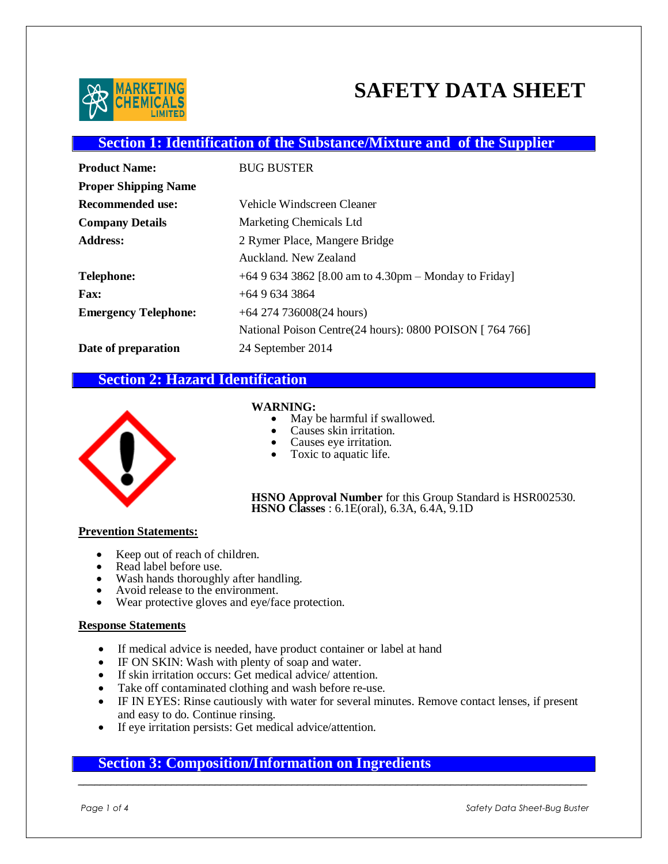

# **SAFETY DATA SHEET**

# **Section 1: Identification of the Substance/Mixture and of the Supplier**

| <b>Product Name:</b>        | <b>BUG BUSTER</b>                                        |
|-----------------------------|----------------------------------------------------------|
| <b>Proper Shipping Name</b> |                                                          |
| <b>Recommended use:</b>     | Vehicle Windscreen Cleaner                               |
| <b>Company Details</b>      | Marketing Chemicals Ltd                                  |
| <b>Address:</b>             | 2 Rymer Place, Mangere Bridge                            |
|                             | Auckland, New Zealand                                    |
| Telephone:                  | +64 9 634 3862 [8.00 am to 4.30pm – Monday to Friday]    |
| <b>Fax:</b>                 | $+6496343864$                                            |
| <b>Emergency Telephone:</b> | $+64$ 274 736008(24 hours)                               |
|                             | National Poison Centre(24 hours): 0800 POISON [ 764 766] |
| Date of preparation         | 24 September 2014                                        |

# **Section 2: Hazard Identification**



WARNING:

- May be harmful if swallowed.
- Causes skin irritation.
- Causes eye irritation.
- Toxic to aquatic life.

**HSNO Approval Number** for this Group Standard is HSR002530. **HSNO Classes** : 6.1E(oral), 6.3A, 6.4A, 9.1D

#### **Prevention Statements:**

- Keep out of reach of children.
- Read label before use.
- Wash hands thoroughly after handling.
- Avoid release to the environment.
- Wear protective gloves and eye/face protection.

#### **Response Statements**

- If medical advice is needed, have product container or label at hand
- $\bullet$  IF ON SKIN: Wash with plenty of soap and water.
- If skin irritation occurs: Get medical advice/ attention.
- Take off contaminated clothing and wash before re-use.
- IF IN EYES: Rinse cautiously with water for several minutes. Remove contact lenses, if present and easy to do. Continue rinsing.
- If eye irritation persists: Get medical advice/attention.

# **Section 3: Composition/Information on Ingredients**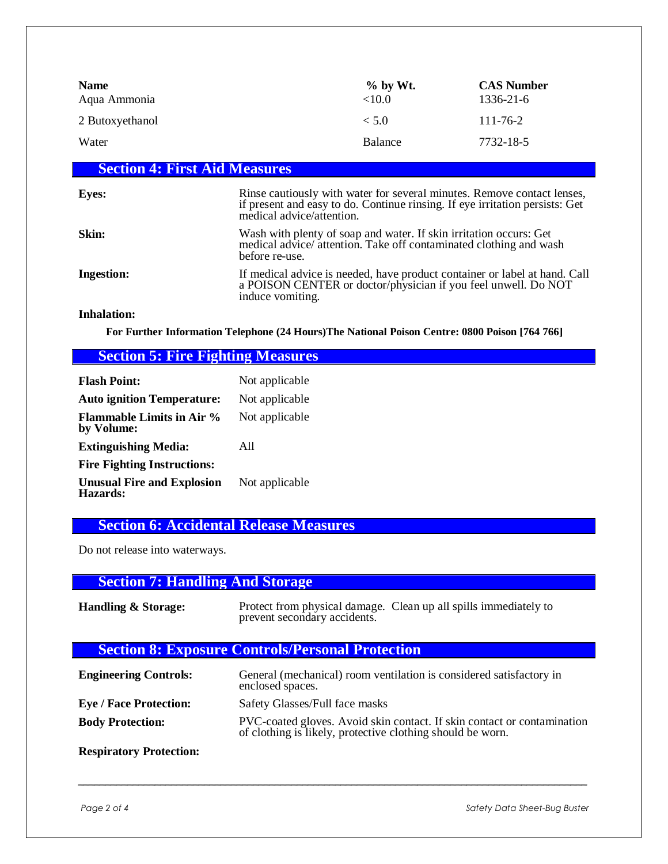| <b>Name</b><br>Aqua Ammonia | $%$ by Wt.<br><10.0 | <b>CAS Number</b><br>1336-21-6 |
|-----------------------------|---------------------|--------------------------------|
| 2 Butoxyethanol             | < 5.0               | $111 - 76 - 2$                 |
| Water                       | Balance             | 7732-18-5                      |

# **Section 4: First Aid Measures**

| <b>Eyes:</b>       | Rinse cautiously with water for several minutes. Remove contact lenses,<br>if present and easy to do. Continue rinsing. If eye irritation persists: Get<br>medical advice/attention. |
|--------------------|--------------------------------------------------------------------------------------------------------------------------------------------------------------------------------------|
| Skin:              | Wash with plenty of soap and water. If skin irritation occurs: Get<br>medical advice/attention. Take off contaminated clothing and wash<br>before re-use.                            |
| <b>Ingestion:</b>  | If medical advice is needed, have product container or label at hand. Call<br>a POISON CENTER or doctor/physician if you feel unwell. Do NOT<br>induce vomiting.                     |
| <b>Inhalation:</b> |                                                                                                                                                                                      |

**For Further Information Telephone (24 Hours)The National Poison Centre: 0800 Poison [764 766]**

# **Section 5: Fire Fighting Measures**

| <b>Flash Point:</b>                            | Not applicable |
|------------------------------------------------|----------------|
| <b>Auto ignition Temperature:</b>              | Not applicable |
| <b>Flammable Limits in Air %</b><br>by Volume: | Not applicable |
| <b>Extinguishing Media:</b>                    | A11            |
| <b>Fire Fighting Instructions:</b>             |                |
| <b>Unusual Fire and Explosion</b><br>Hazards:  | Not applicable |

# **Section 6: Accidental Release Measures**

Do not release into waterways.

# **Section 7: Handling And Storage**

| <b>Handling &amp; Storage:</b> | prevent secondary accidents. | Protect from physical damage. Clean up all spills immediately to |
|--------------------------------|------------------------------|------------------------------------------------------------------|
|                                |                              |                                                                  |

# **Section 8: Exposure Controls/Personal Protection**

| <b>Engineering Controls:</b>  | General (mechanical) room ventilation is considered satisfactory in<br>enclosed spaces.                                               |
|-------------------------------|---------------------------------------------------------------------------------------------------------------------------------------|
| <b>Eye / Face Protection:</b> | Safety Glasses/Full face masks                                                                                                        |
| <b>Body Protection:</b>       | PVC-coated gloves. Avoid skin contact. If skin contact or contamination<br>of clothing is likely, protective clothing should be worn. |

**Respiratory Protection:**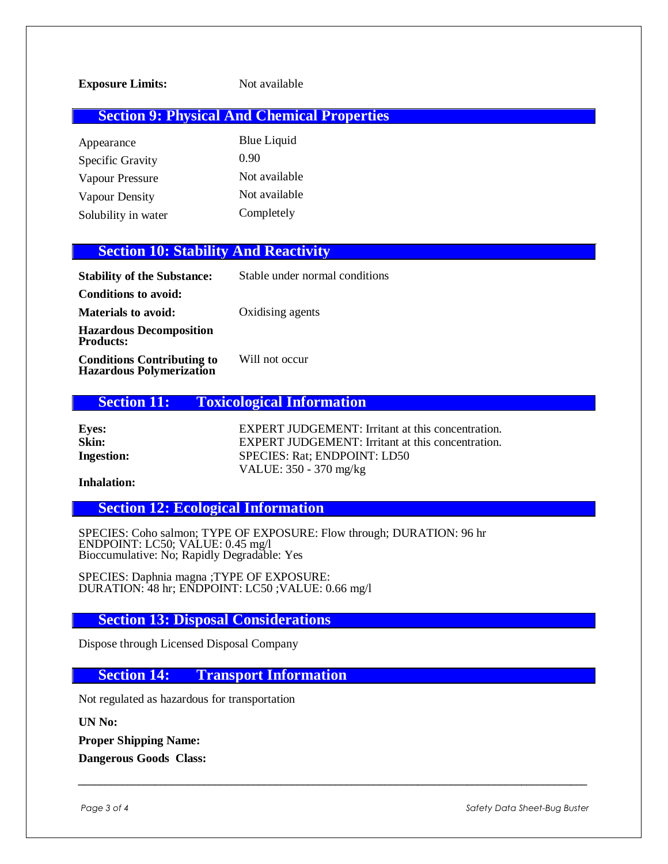## **Section 9: Physical And Chemical Properties**

Appearance Blue Liquid Specific Gravity 0.90 Vapour Pressure Not available Vapour Density Not available Solubility in water Completely

### **Section 10: Stability And Reactivity**

| <b>Stability of the Substance:</b>                                   | Stable under normal conditions |
|----------------------------------------------------------------------|--------------------------------|
| Conditions to avoid:                                                 |                                |
| <b>Materials to avoid:</b>                                           | Oxidising agents               |
| <b>Hazardous Decomposition</b><br><b>Products:</b>                   |                                |
| <b>Conditions Contributing to</b><br><b>Hazardous Polymerization</b> | Will not occur                 |

#### **Section 11: Toxicological Information**

| <b>Eyes:</b>      | <b>EXPERT JUDGEMENT:</b> Irritant at this concentration. |
|-------------------|----------------------------------------------------------|
| Skin:             | EXPERT JUDGEMENT: Irritant at this concentration.        |
| <b>Ingestion:</b> | SPECIES: Rat: ENDPOINT: LD50                             |
|                   | VALUE: $350 - 370$ mg/kg                                 |

#### **Inhalation:**

**Section 12: Ecological Information**

SPECIES: Coho salmon; TYPE OF EXPOSURE: Flow through; DURATION: 96 hr ENDPOINT: LC50; VALUE: 0.45 mg/l Bioccumulative: No; Rapidly Degradable: Yes

SPECIES: Daphnia magna ;TYPE OF EXPOSURE: DURATION: 48 hr; ENDPOINT: LC50 ;VALUE: 0.66 mg/l

**Section 13: Disposal Considerations**

Dispose through Licensed Disposal Company

#### **Section 14: Transport Information**

Not regulated as hazardous for transportation

**UN No:**

**Proper Shipping Name:**

**Dangerous Goods Class:**

Page 3 of 4 Safety Data Sheet-Bug Buster **Sheet-Bug Buster and Sheet-Bug Buster** *Safety Data Sheet-Bug Buster*